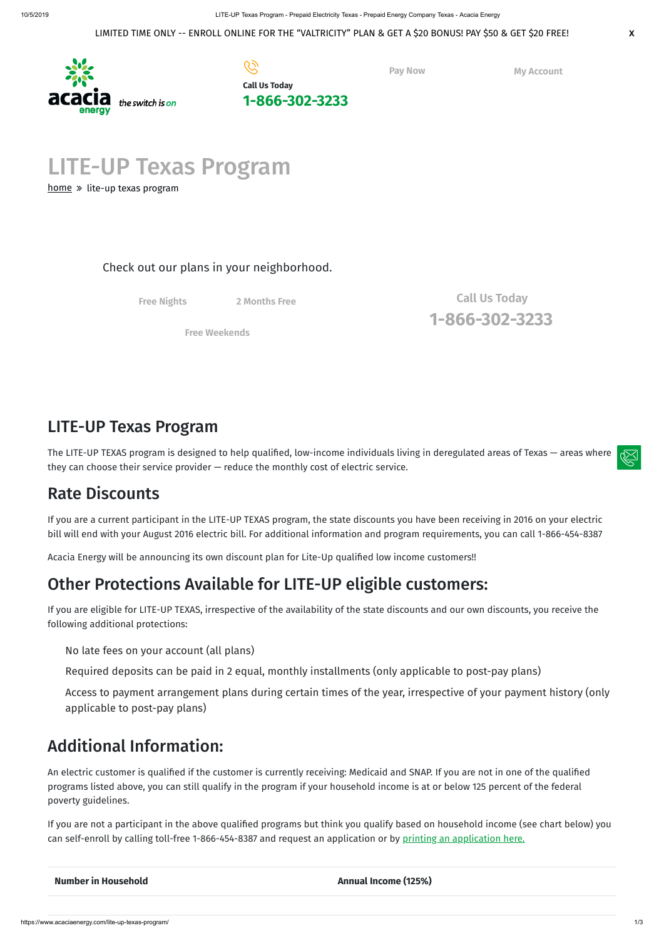LITE-UP Texas Program

[home](https://www.acaciaenergy.com/)  $\gg$  lite-up texas program



The LITE-UP TEXAS program is designed to help qualified, low-income individuals living in deregulated areas of Texas — areas where they can choose their service provider — reduce the monthly cost of electric service.

**Pay Now My [Account](https://www.acaciaenergy.com/my-account-helpful-links/)**

## LITE-UP Texas Program

# Rate Discounts

If you are a current participant in the LITE-UP TEXAS program, the state discounts you have been receiving in 2016 on your electric bill will end with your August 2016 electric bill. For additional information and program requirements, you can call 1-866-454-8387

Acacia Energy will be announcing its own discount plan for Lite-Up qualified low income customers!!

An electric customer is qualified if the customer is currently receiving: Medicaid and SNAP. If you are not in one of the qualified programs listed above, you can still qualify in the program if your household income is at or below 125 percent of the federal poverty guidelines.

# Other Protections Available for LITE-UP eligible customers:

If you are not a participant in the above qualified programs but think you qualify based on household income (see chart below) you can self-enroll by calling toll-free 1-866-454-8387 and request an application or by printing an [application](https://www.puc.texas.gov/industry/electric/forms/sbf/LITE_UP_SelfEnrol_Engl.pdf) here.

**Number** in Household **Annual Income** (125%)

If you are eligible for LITE-UP TEXAS, irrespective of the availability of the state discounts and our own discounts, you receive the following additional protections:

No late fees on your account (all plans)

Required deposits can be paid in 2 equal, monthly installments (only applicable to post-pay plans)

Access to payment arrangement plans during certain times of the year, irrespective of your payment history (only applicable to post-pay plans)

# Additional Information:

### Check out our plans in your neighborhood.

**Free [Nights](https://www.acaciaenergy.com/electricity-prepaid-plans/#plans) 2 [Months](https://www.acaciaenergy.com/electricity-prepaid-plans/#plans) Free**

**Free [Weekends](https://www.acaciaenergy.com/electricity-prepaid-plans/#plans)**

**Call Us Today [1-866-302-3233](tel:18663023233)**

#### LIMITED TIME ONLY -- ENROLL ONLINE FOR THE "VALTRICITY" PLAN & GET A \$20 BONUS! PAY \$50 & GET \$20 FREE! **X**

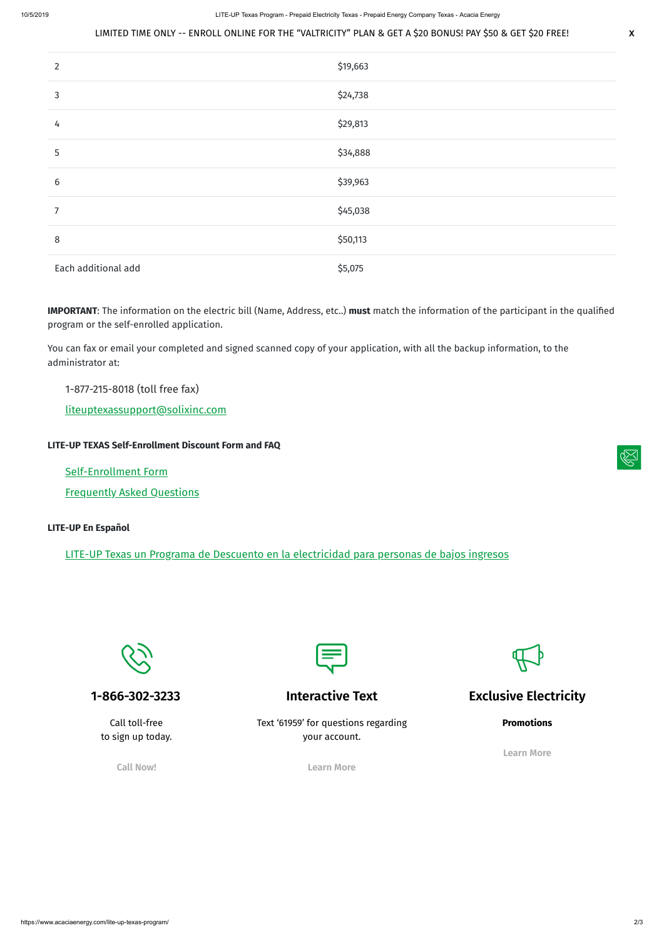### LIMITED TIME ONLY -- ENROLL ONLINE FOR THE "VALTRICITY" PLAN & GET A \$20 BONUS! PAY \$50 & GET \$20 FREE! **X**

| $\overline{2}$      | \$19,663 |
|---------------------|----------|
| 3                   | \$24,738 |
| 4                   | \$29,813 |
| 5                   | \$34,888 |
| $6\,$               | \$39,963 |
| 7                   | \$45,038 |
| 8                   | \$50,113 |
| Each additional add | \$5,075  |

**IMPORTANT**: The information on the electric bill (Name, Address, etc..) **must** match the information of the participant in the qualified program or the self-enrolled application.

You can fax or email your completed and signed scanned copy of your application, with all the backup information, to the administrator at:

### 1-877-215-8018 (toll free fax)

[liteuptexassupport@solixinc.com](mailto:liteuptexassupport@solixinc.com)

### **LITE-UP TEXAS Self-Enrollment Discount Form and FAQ**

[Self-Enrollment](https://www.texaslifeline.org/) Form

[Frequently](http://www.puc.texas.gov/consumer/lowincome/solix.aspx) Asked Questions

#### **LITE-UP En Español**

LITE-UP Texas un Programa de Descuento en la [electricidad](http://espanol.puc.texas.gov/consumer/lowincome/Assistance.es.aspx) para personas de bajos ingresos



**1-866-302-3233**



Call toll-free to sign up today.

**Call Now!**

### **Interactive Text**



Text '61959' for questions regarding your account.

**Learn More**

**Exclusive Electricity**

**Promotions**

**Learn More**